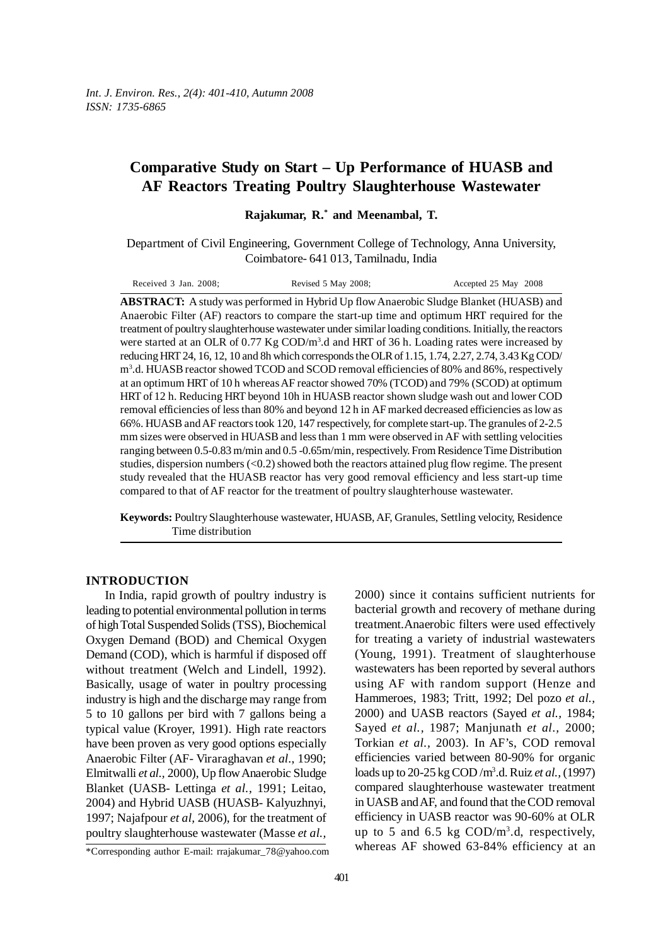# **Comparative Study on Start – Up Performance of HUASB and AF Reactors Treating Poultry Slaughterhouse Wastewater**

**Rajakumar, R.\* and Meenambal, T.**

Department of Civil Engineering, Government College of Technology, Anna University, Coimbatore- 641 013, Tamilnadu, India

| Received 3 Jan. 2008: | Revised 5 May 2008; | Accepted 25 May 2008 |
|-----------------------|---------------------|----------------------|
|-----------------------|---------------------|----------------------|

**ABSTRACT:** A study was performed in Hybrid Up flow Anaerobic Sludge Blanket (HUASB) and Anaerobic Filter (AF) reactors to compare the start-up time and optimum HRT required for the treatment of poultry slaughterhouse wastewater under similar loading conditions. Initially, the reactors were started at an OLR of  $0.77$  Kg  $\text{COD/m}^3$ .d and HRT of 36 h. Loading rates were increased by reducing HRT 24, 16, 12, 10 and 8h which corresponds the OLR of 1.15, 1.74, 2.27, 2.74, 3.43 Kg COD/ m3 .d. HUASB reactor showed TCOD and SCOD removal efficiencies of 80% and 86%, respectively at an optimum HRT of 10 h whereas AF reactor showed 70% (TCOD) and 79% (SCOD) at optimum HRT of 12 h. Reducing HRT beyond 10h in HUASB reactor shown sludge wash out and lower COD removal efficiencies of less than 80% and beyond 12 h in AF marked decreased efficiencies as low as 66%. HUASB and AF reactors took 120, 147 respectively, for complete start-up. The granules of 2-2.5 mm sizes were observed in HUASB and less than 1 mm were observed in AF with settling velocities ranging between 0.5-0.83 m/min and 0.5 -0.65m/min, respectively. From Residence Time Distribution studies, dispersion numbers  $(<0.2$ ) showed both the reactors attained plug flow regime. The present study revealed that the HUASB reactor has very good removal efficiency and less start-up time compared to that of AF reactor for the treatment of poultry slaughterhouse wastewater.

**Keywords:** Poultry Slaughterhouse wastewater, HUASB, AF, Granules, Settling velocity, Residence Time distribution

## **INTRODUCTION**

In India, rapid growth of poultry industry is leading to potential environmental pollution in terms of high Total Suspended Solids (TSS), Biochemical Oxygen Demand (BOD) and Chemical Oxygen Demand (COD), which is harmful if disposed off without treatment (Welch and Lindell, 1992). Basically, usage of water in poultry processing industry is high and the discharge may range from 5 to 10 gallons per bird with 7 gallons being a typical value (Kroyer, 1991). High rate reactors have been proven as very good options especially Anaerobic Filter (AF- Viraraghavan *et al*., 1990; Elmitwalli *et al.,* 2000), Up flow Anaerobic Sludge Blanket (UASB- Lettinga *et al.,* 1991; Leitao, 2004) and Hybrid UASB (HUASB- Kalyuzhnyi, 1997; Najafpour *et al,* 2006), for the treatment of poultry slaughterhouse wastewater (Masse *et al.,*

2000) since it contains sufficient nutrients for bacterial growth and recovery of methane during treatment.Anaerobic filters were used effectively for treating a variety of industrial wastewaters (Young, 1991). Treatment of slaughterhouse wastewaters has been reported by several authors using AF with random support (Henze and Hammeroes, 1983; Tritt, 1992; Del pozo *et al.,* 2000) and UASB reactors (Sayed *et al.,* 1984; Sayed *et al.,* 1987; Manjunath *et al.,* 2000; Torkian *et al.,* 2003). In AF's, COD removal efficiencies varied between 80-90% for organic loads up to 20-25 kg COD /m3 .d. Ruiz *et al.,* (1997) compared slaughterhouse wastewater treatment in UASB and AF, and found that the COD removal efficiency in UASB reactor was 90-60% at OLR up to 5 and 6.5 kg  $\text{COD/m}^3$ .d, respectively, whereas AF showed 63-84% efficiency at an

<sup>\*</sup>Corresponding author E-mail: rrajakumar\_78@yahoo.com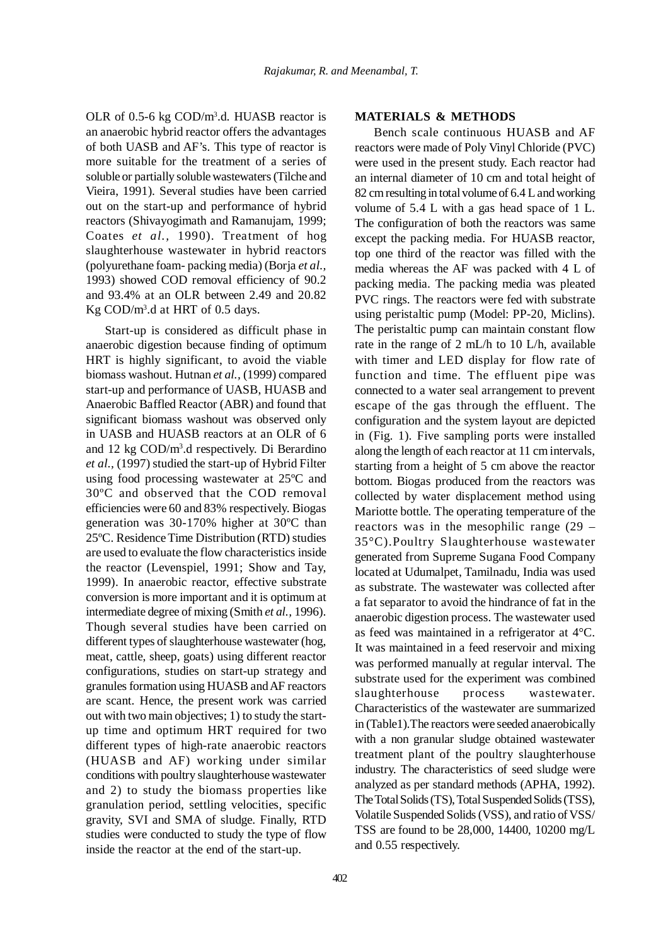OLR of 0.5-6 kg COD/m<sup>3</sup>.d. HUASB reactor is an anaerobic hybrid reactor offers the advantages of both UASB and AF's. This type of reactor is more suitable for the treatment of a series of soluble or partially soluble wastewaters (Tilche and Vieira, 1991). Several studies have been carried out on the start-up and performance of hybrid reactors (Shivayogimath and Ramanujam, 1999; Coates *et al.,* 1990). Treatment of hog slaughterhouse wastewater in hybrid reactors (polyurethane foam- packing media) (Borja *et al.,* 1993) showed COD removal efficiency of 90.2 and 93.4% at an OLR between 2.49 and 20.82 Kg COD/m3 .d at HRT of 0.5 days.

Start-up is considered as difficult phase in anaerobic digestion because finding of optimum HRT is highly significant, to avoid the viable biomass washout. Hutnan *et al.,* (1999) compared start-up and performance of UASB, HUASB and Anaerobic Baffled Reactor (ABR) and found that significant biomass washout was observed only in UASB and HUASB reactors at an OLR of 6 and 12 kg COD/m3 .d respectively. Di Berardino *et al.,* (1997) studied the start-up of Hybrid Filter using food processing wastewater at 25ºC and 30ºC and observed that the COD removal efficiencies were 60 and 83% respectively. Biogas generation was 30-170% higher at 30ºC than 25ºC. Residence Time Distribution (RTD) studies are used to evaluate the flow characteristics inside the reactor (Levenspiel, 1991; Show and Tay, 1999). In anaerobic reactor, effective substrate conversion is more important and it is optimum at intermediate degree of mixing (Smith *et al.,* 1996). Though several studies have been carried on different types of slaughterhouse wastewater (hog, meat, cattle, sheep, goats) using different reactor configurations, studies on start-up strategy and granules formation using HUASB and AF reactors are scant. Hence, the present work was carried out with two main objectives; 1) to study the startup time and optimum HRT required for two different types of high-rate anaerobic reactors (HUASB and AF) working under similar conditions with poultry slaughterhouse wastewater and 2) to study the biomass properties like granulation period, settling velocities, specific gravity, SVI and SMA of sludge. Finally, RTD studies were conducted to study the type of flow inside the reactor at the end of the start-up.

## 402

# **MATERIALS & METHODS**

Bench scale continuous HUASB and AF reactors were made of Poly Vinyl Chloride (PVC) were used in the present study. Each reactor had an internal diameter of 10 cm and total height of 82 cm resulting in total volume of 6.4 L and working volume of 5.4 L with a gas head space of 1 L. The configuration of both the reactors was same except the packing media. For HUASB reactor, top one third of the reactor was filled with the media whereas the AF was packed with 4 L of packing media. The packing media was pleated PVC rings. The reactors were fed with substrate using peristaltic pump (Model: PP-20, Miclins). The peristaltic pump can maintain constant flow rate in the range of 2 mL/h to 10 L/h, available with timer and LED display for flow rate of function and time. The effluent pipe was connected to a water seal arrangement to prevent escape of the gas through the effluent. The configuration and the system layout are depicted in (Fig. 1). Five sampling ports were installed along the length of each reactor at 11 cm intervals, starting from a height of 5 cm above the reactor bottom. Biogas produced from the reactors was collected by water displacement method using Mariotte bottle. The operating temperature of the reactors was in the mesophilic range (29 – 35°C).Poultry Slaughterhouse wastewater generated from Supreme Sugana Food Company located at Udumalpet, Tamilnadu, India was used as substrate. The wastewater was collected after a fat separator to avoid the hindrance of fat in the anaerobic digestion process. The wastewater used as feed was maintained in a refrigerator at 4°C. It was maintained in a feed reservoir and mixing was performed manually at regular interval. The substrate used for the experiment was combined slaughterhouse process wastewater. Characteristics of the wastewater are summarized in (Table1).The reactors were seeded anaerobically with a non granular sludge obtained wastewater treatment plant of the poultry slaughterhouse industry. The characteristics of seed sludge were analyzed as per standard methods (APHA, 1992). The Total Solids (TS), Total Suspended Solids (TSS), Volatile Suspended Solids (VSS), and ratio of VSS/ TSS are found to be 28,000, 14400, 10200 mg/L and 0.55 respectively.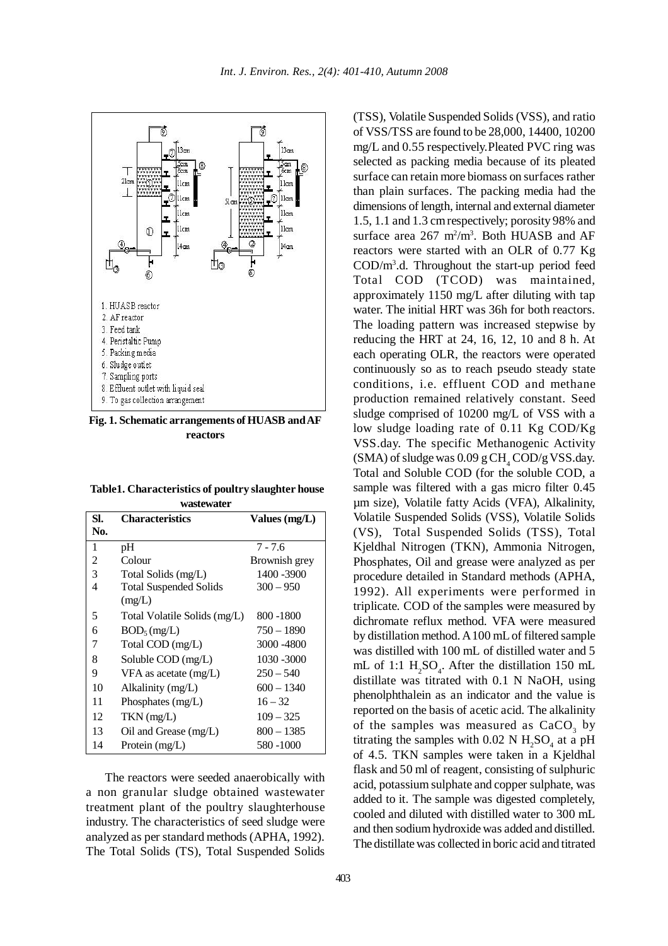

**Fig. 1. Schematic arrangements of HUASB and AF reactors**

**Table1. Characteristics of poultry slaughter house wastewater**

| SI. | <b>Characteristics</b>                  | Values $(mg/L)$ |  |
|-----|-----------------------------------------|-----------------|--|
| No. |                                         |                 |  |
| 1   | pH                                      | $7 - 7.6$       |  |
| 2   | Colour                                  | Brownish grey   |  |
| 3   | Total Solids (mg/L)                     | 1400 - 3900     |  |
| 4   | <b>Total Suspended Solids</b><br>(mg/L) | $300 - 950$     |  |
| 5   | Total Volatile Solids (mg/L)            | 800 -1800       |  |
| 6   | $BOD_5(mg/L)$                           | $750 - 1890$    |  |
| 7   | Total COD (mg/L)                        | 3000 - 4800     |  |
| 8   | Soluble COD (mg/L)                      | 1030 - 3000     |  |
| 9   | VFA as acetate $(mg/L)$                 | $250 - 540$     |  |
| 10  | Alkalinity (mg/L)                       | $600 - 1340$    |  |
| 11  | Phosphates $(mg/L)$                     | $16 - 32$       |  |
| 12  | $TKN$ (mg/L)                            | $109 - 325$     |  |
| 13  | Oil and Grease $(mg/L)$                 | $800 - 1385$    |  |
| 14  | Protein (mg/L)                          | 580 -1000       |  |

The reactors were seeded anaerobically with a non granular sludge obtained wastewater treatment plant of the poultry slaughterhouse industry. The characteristics of seed sludge were analyzed as per standard methods (APHA, 1992). The Total Solids (TS), Total Suspended Solids

(TSS), Volatile Suspended Solids (VSS), and ratio of VSS/TSS are found to be 28,000, 14400, 10200 mg/L and 0.55 respectively.Pleated PVC ring was selected as packing media because of its pleated surface can retain more biomass on surfaces rather than plain surfaces. The packing media had the dimensions of length, internal and external diameter 1.5, 1.1 and 1.3 cm respectively; porosity 98% and surface area  $267 \text{ m}^2/\text{m}^3$ . Both HUASB and AF reactors were started with an OLR of 0.77 Kg COD/m3 .d. Throughout the start-up period feed Total COD (TCOD) was maintained, approximately 1150 mg/L after diluting with tap water. The initial HRT was 36h for both reactors. The loading pattern was increased stepwise by reducing the HRT at 24, 16, 12, 10 and 8 h. At each operating OLR, the reactors were operated continuously so as to reach pseudo steady state conditions, i.e. effluent COD and methane production remained relatively constant. Seed sludge comprised of 10200 mg/L of VSS with a low sludge loading rate of 0.11 Kg COD/Kg VSS.day. The specific Methanogenic Activity  $(SMA)$  of sludge was  $0.09$  g CH<sub>4</sub> COD/g VSS.day. Total and Soluble COD (for the soluble COD, a sample was filtered with a gas micro filter 0.45 µm size), Volatile fatty Acids (VFA), Alkalinity, Volatile Suspended Solids (VSS), Volatile Solids (VS), Total Suspended Solids (TSS), Total Kjeldhal Nitrogen (TKN), Ammonia Nitrogen, Phosphates, Oil and grease were analyzed as per procedure detailed in Standard methods (APHA, 1992). All experiments were performed in triplicate. COD of the samples were measured by dichromate reflux method. VFA were measured by distillation method. A 100 mL of filtered sample was distilled with 100 mL of distilled water and 5 mL of 1:1  $H_2SO_4$ . After the distillation 150 mL distillate was titrated with 0.1 N NaOH, using phenolphthalein as an indicator and the value is reported on the basis of acetic acid. The alkalinity of the samples was measured as  $CaCO<sub>3</sub>$  by titrating the samples with  $0.02 \text{ N H}_2\text{SO}_4$  at a pH of 4.5. TKN samples were taken in a Kjeldhal flask and 50 ml of reagent, consisting of sulphuric acid, potassium sulphate and copper sulphate, was added to it. The sample was digested completely, cooled and diluted with distilled water to 300 mL and then sodium hydroxide was added and distilled. The distillate was collected in boric acid and titrated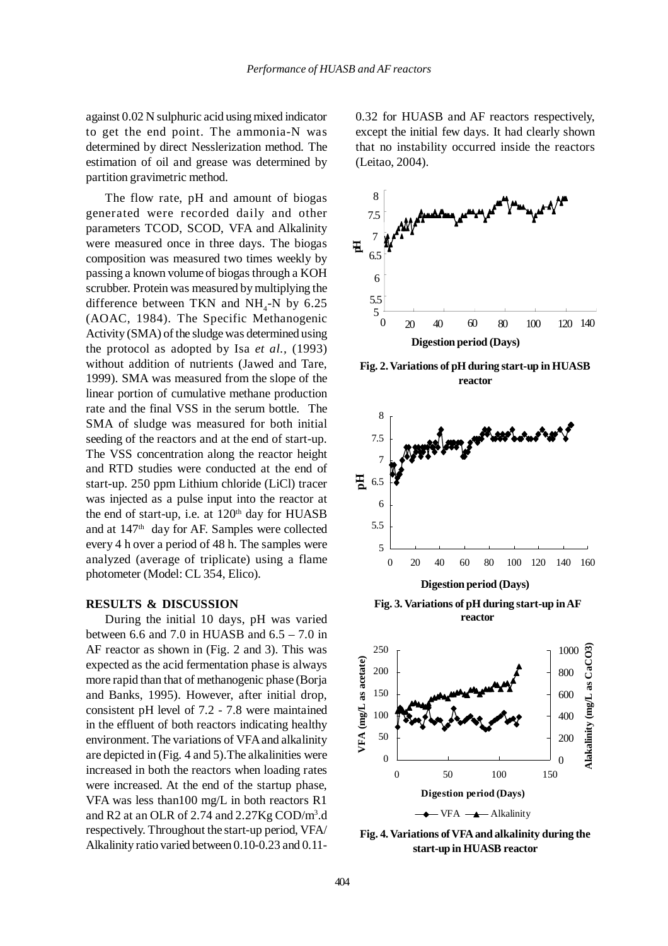against 0.02 N sulphuric acid using mixed indicator to get the end point. The ammonia-N was determined by direct Nesslerization method. The estimation of oil and grease was determined by partition gravimetric method.

The flow rate, pH and amount of biogas generated were recorded daily and other parameters TCOD, SCOD, VFA and Alkalinity were measured once in three days. The biogas composition was measured two times weekly by passing a known volume of biogas through a KOH scrubber. Protein was measured by multiplying the difference between TKN and  $NH<sub>4</sub>-N$  by 6.25 (AOAC, 1984). The Specific Methanogenic Activity (SMA) of the sludge was determined using the protocol as adopted by Isa *et al.,* (1993) without addition of nutrients (Jawed and Tare, 1999). SMA was measured from the slope of the linear portion of cumulative methane production rate and the final VSS in the serum bottle. The SMA of sludge was measured for both initial seeding of the reactors and at the end of start-up. The VSS concentration along the reactor height and RTD studies were conducted at the end of start-up. 250 ppm Lithium chloride (LiCl) tracer was injected as a pulse input into the reactor at the end of start-up, i.e. at  $120<sup>th</sup>$  day for HUASB and at 147th day for AF. Samples were collected every 4 h over a period of 48 h. The samples were analyzed (average of triplicate) using a flame photometer (Model: CL 354, Elico).

### **RESULTS & DISCUSSION**

During the initial 10 days, pH was varied between 6.6 and 7.0 in HUASB and  $6.5 - 7.0$  in AF reactor as shown in (Fig. 2 and 3). This was expected as the acid fermentation phase is always more rapid than that of methanogenic phase (Borja and Banks, 1995). However, after initial drop, consistent pH level of 7.2 - 7.8 were maintained in the effluent of both reactors indicating healthy environment. The variations of VFA and alkalinity are depicted in (Fig. 4 and 5).The alkalinities were increased in both the reactors when loading rates were increased. At the end of the startup phase, VFA was less than100 mg/L in both reactors R1 and R2 at an OLR of 2.74 and 2.27Kg COD/m3 .d respectively. Throughout the start-up period, VFA/ Alkalinity ratio varied between 0.10-0.23 and 0.110.32 for HUASB and AF reactors respectively, except the initial few days. It had clearly shown that no instability occurred inside the reactors (Leitao, 2004).



**Fig. 2. Variations of pH during start-up in HUASB reactor**



**Digestion period (Days)**

**Fig. 3. Variations of pH during start-up in AF reactor**



**Fig. 4. Variations of VFA and alkalinity during the start-up in HUASB reactor**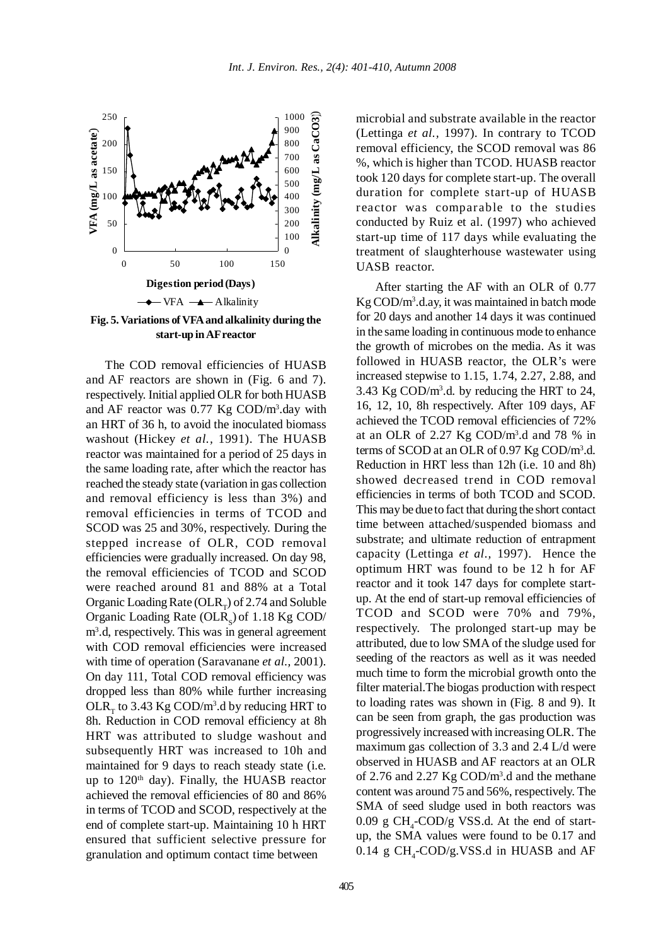

**Fig. 5. Variations of VFA and alkalinity during the start-up in AF reactor**

The COD removal efficiencies of HUASB and AF reactors are shown in (Fig. 6 and 7). respectively. Initial applied OLR for both HUASB and AF reactor was  $0.77$  Kg COD/m<sup>3</sup>.day with an HRT of 36 h, to avoid the inoculated biomass washout (Hickey *et al.,* 1991). The HUASB reactor was maintained for a period of 25 days in the same loading rate, after which the reactor has reached the steady state (variation in gas collection and removal efficiency is less than 3%) and removal efficiencies in terms of TCOD and SCOD was 25 and 30%, respectively. During the stepped increase of OLR, COD removal efficiencies were gradually increased. On day 98, the removal efficiencies of TCOD and SCOD were reached around 81 and 88% at a Total Organic Loading Rate (OLR $_{\rm r}$ ) of 2.74 and Soluble Organic Loading Rate  $(OLR<sub>s</sub>)$  of 1.18 Kg COD/ m3 .d, respectively. This was in general agreement with COD removal efficiencies were increased with time of operation (Saravanane *et al.,* 2001). On day 111, Total COD removal efficiency was dropped less than 80% while further increasing OLR<sub>T</sub> to 3.43 Kg COD/m<sup>3</sup>.d by reducing HRT to 8h. Reduction in COD removal efficiency at 8h HRT was attributed to sludge washout and subsequently HRT was increased to 10h and maintained for 9 days to reach steady state (i.e. up to  $120<sup>th</sup>$  day). Finally, the HUASB reactor achieved the removal efficiencies of 80 and 86% in terms of TCOD and SCOD, respectively at the end of complete start-up. Maintaining 10 h HRT ensured that sufficient selective pressure for granulation and optimum contact time between

microbial and substrate available in the reactor (Lettinga *et al.,* 1997). In contrary to TCOD removal efficiency, the SCOD removal was 86 %, which is higher than TCOD. HUASB reactor took 120 days for complete start-up. The overall duration for complete start-up of HUASB reactor was comparable to the studies conducted by Ruiz et al. (1997) who achieved start-up time of 117 days while evaluating the treatment of slaughterhouse wastewater using UASB reactor.

After starting the AF with an OLR of 0.77 Kg COD/m3 .d.ay, it was maintained in batch mode for 20 days and another 14 days it was continued in the same loading in continuous mode to enhance the growth of microbes on the media. As it was followed in HUASB reactor, the OLR's were increased stepwise to 1.15, 1.74, 2.27, 2.88, and 3.43 Kg COD/ $m<sup>3</sup>$ .d. by reducing the HRT to 24, 16, 12, 10, 8h respectively. After 109 days, AF achieved the TCOD removal efficiencies of 72% at an OLR of 2.27 Kg  $\text{COD/m}^3$ .d and 78 % in terms of SCOD at an OLR of 0.97 Kg COD/m<sup>3</sup>.d. Reduction in HRT less than 12h (i.e. 10 and 8h) showed decreased trend in COD removal efficiencies in terms of both TCOD and SCOD. This may be due to fact that during the short contact time between attached/suspended biomass and substrate; and ultimate reduction of entrapment capacity (Lettinga *et al.,* 1997). Hence the optimum HRT was found to be 12 h for AF reactor and it took 147 days for complete startup. At the end of start-up removal efficiencies of TCOD and SCOD were 70% and 79%, respectively. The prolonged start-up may be attributed, due to low SMA of the sludge used for seeding of the reactors as well as it was needed much time to form the microbial growth onto the filter material.The biogas production with respect to loading rates was shown in (Fig. 8 and 9). It can be seen from graph, the gas production was progressively increased with increasing OLR. The maximum gas collection of 3.3 and 2.4 L/d were observed in HUASB and AF reactors at an OLR of 2.76 and 2.27 Kg COD/m3 .d and the methane content was around 75 and 56%, respectively. The SMA of seed sludge used in both reactors was  $0.09 \text{ g } CH_{4}$ -COD/g VSS.d. At the end of startup, the SMA values were found to be 0.17 and  $0.14 \text{ g } CH_{4}$ -COD/g.VSS.d in HUASB and AF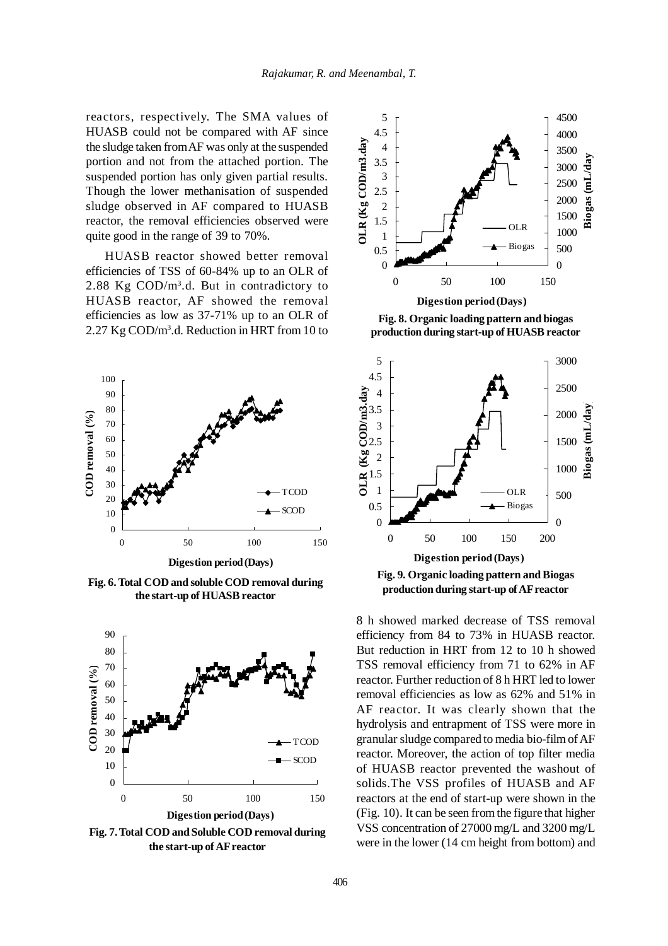reactors, respectively. The SMA values of HUASB could not be compared with AF since the sludge taken from AF was only at the suspended portion and not from the attached portion. The suspended portion has only given partial results. Though the lower methanisation of suspended sludge observed in AF compared to HUASB reactor, the removal efficiencies observed were quite good in the range of 39 to 70%.

HUASB reactor showed better removal efficiencies of TSS of 60-84% up to an OLR of 2.88 Kg COD/m3.d. But in contradictory to HUASB reactor, AF showed the removal efficiencies as low as 37-71% up to an OLR of 2.27 Kg COD/m3 .d. Reduction in HRT from 10 to



**Fig. 6. Total COD and soluble COD removal during the start-up of HUASB reactor**



**Fig. 7. Total COD and Soluble COD removal during the start-up of AF reactor**



**Fig. 8. Organic loading pattern and biogas production during start-up of HUASB reactor**



8 h showed marked decrease of TSS removal efficiency from 84 to 73% in HUASB reactor. But reduction in HRT from 12 to 10 h showed TSS removal efficiency from 71 to 62% in AF reactor. Further reduction of 8 h HRT led to lower removal efficiencies as low as 62% and 51% in AF reactor. It was clearly shown that the hydrolysis and entrapment of TSS were more in granular sludge compared to media bio-film of AF reactor. Moreover, the action of top filter media of HUASB reactor prevented the washout of solids.The VSS profiles of HUASB and AF reactors at the end of start-up were shown in the (Fig. 10). It can be seen from the figure that higher VSS concentration of 27000 mg/L and 3200 mg/L were in the lower (14 cm height from bottom) and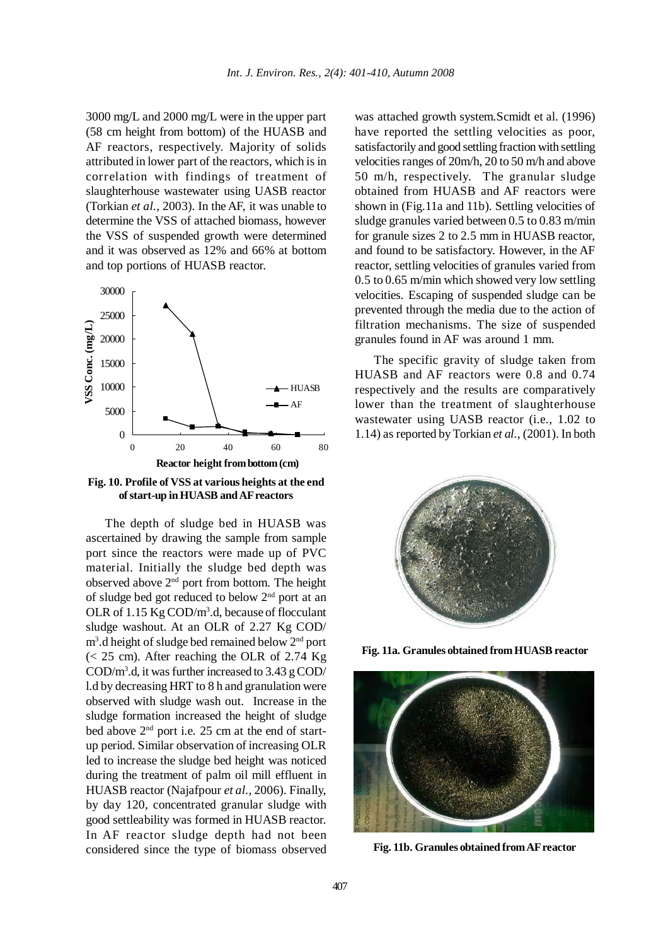3000 mg/L and 2000 mg/L were in the upper part (58 cm height from bottom) of the HUASB and AF reactors, respectively. Majority of solids attributed in lower part of the reactors, which is in correlation with findings of treatment of slaughterhouse wastewater using UASB reactor (Torkian *et al.,* 2003). In the AF, it was unable to determine the VSS of attached biomass, however the VSS of suspended growth were determined and it was observed as 12% and 66% at bottom and top portions of HUASB reactor.



**Fig. 10. Profile of VSS at various heights at the end of start-up in HUASB and AF reactors**

The depth of sludge bed in HUASB was ascertained by drawing the sample from sample port since the reactors were made up of PVC material. Initially the sludge bed depth was observed above 2nd port from bottom. The height of sludge bed got reduced to below 2nd port at an OLR of 1.15 Kg COD/m<sup>3</sup>.d, because of flocculant sludge washout. At an OLR of 2.27 Kg COD/ m<sup>3</sup>.d height of sludge bed remained below 2<sup>nd</sup> port  $(< 25$  cm). After reaching the OLR of 2.74 Kg COD/m3 .d, it was further increased to 3.43 g COD/ l.d by decreasing HRT to 8 h and granulation were observed with sludge wash out. Increase in the sludge formation increased the height of sludge bed above  $2<sup>nd</sup>$  port i.e. 25 cm at the end of startup period. Similar observation of increasing OLR led to increase the sludge bed height was noticed during the treatment of palm oil mill effluent in HUASB reactor (Najafpour *et al.,* 2006). Finally, by day 120, concentrated granular sludge with good settleability was formed in HUASB reactor. In AF reactor sludge depth had not been considered since the type of biomass observed

was attached growth system.Scmidt et al. (1996) have reported the settling velocities as poor, satisfactorily and good settling fraction with settling velocities ranges of 20m/h, 20 to 50 m/h and above 50 m/h, respectively. The granular sludge obtained from HUASB and AF reactors were shown in (Fig.11a and 11b). Settling velocities of sludge granules varied between 0.5 to 0.83 m/min for granule sizes 2 to 2.5 mm in HUASB reactor, and found to be satisfactory. However, in the AF reactor, settling velocities of granules varied from 0.5 to 0.65 m/min which showed very low settling velocities. Escaping of suspended sludge can be prevented through the media due to the action of filtration mechanisms. The size of suspended granules found in AF was around 1 mm.

The specific gravity of sludge taken from HUASB and AF reactors were 0.8 and 0.74 respectively and the results are comparatively lower than the treatment of slaughterhouse wastewater using UASB reactor (i.e., 1.02 to 1.14) as reported by Torkian *et al.,* (2001). In both



**Fig. 11a. Granules obtained from HUASB reactor**



**Fig. 11b. Granules obtained from AF reactor**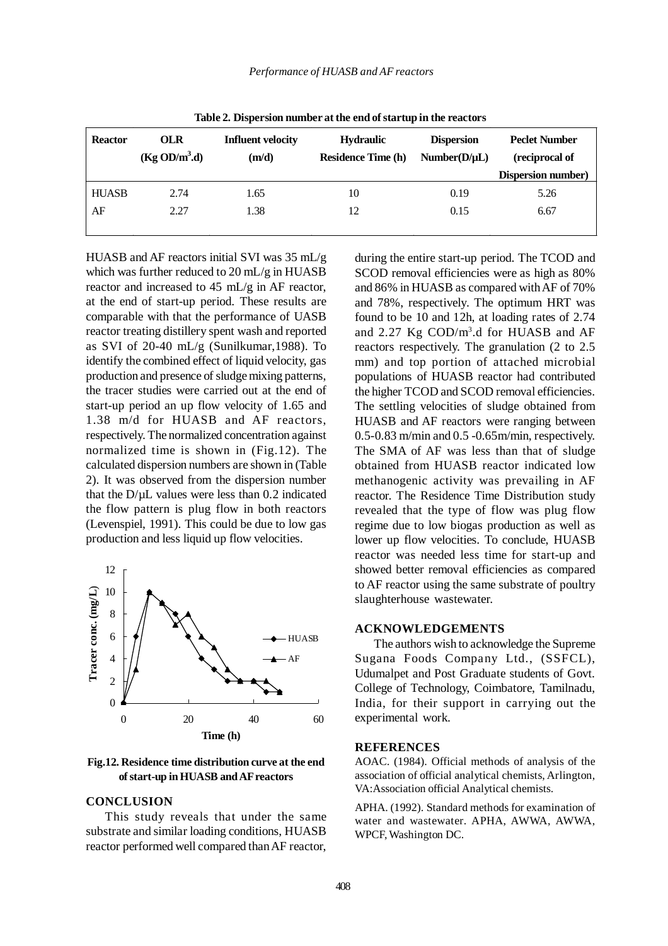| Table 2. Dispersion number at the end of startup in the reactors |                                         |                                   |                                               |                                   |                                        |  |
|------------------------------------------------------------------|-----------------------------------------|-----------------------------------|-----------------------------------------------|-----------------------------------|----------------------------------------|--|
| <b>Reactor</b>                                                   | <b>OLR</b><br>(Kg OD/m <sup>3</sup> .d) | <b>Influent velocity</b><br>(m/d) | <b>Hydraulic</b><br><b>Residence Time (h)</b> | <b>Dispersion</b><br>Number(D/µL) | <b>Peclet Number</b><br>(reciprocal of |  |
|                                                                  |                                         |                                   |                                               |                                   | <b>Dispersion number)</b>              |  |
| <b>HUASB</b>                                                     | 2.74                                    | 1.65                              | 10                                            | 0.19                              | 5.26                                   |  |
| AF                                                               | 2.27                                    | 1.38                              | 12                                            | 0.15                              | 6.67                                   |  |
|                                                                  |                                         |                                   |                                               |                                   |                                        |  |

**Table 2. Dispersion number at the end of startup in the reactors**

HUASB and AF reactors initial SVI was 35 mL/g which was further reduced to 20 mL/g in HUASB reactor and increased to 45 mL/g in AF reactor, at the end of start-up period. These results are comparable with that the performance of UASB reactor treating distillery spent wash and reported as SVI of 20-40 mL/g (Sunilkumar,1988). To identify the combined effect of liquid velocity, gas production and presence of sludge mixing patterns, the tracer studies were carried out at the end of start-up period an up flow velocity of 1.65 and 1.38 m/d for HUASB and AF reactors, respectively. The normalized concentration against normalized time is shown in (Fig.12). The calculated dispersion numbers are shown in (Table 2). It was observed from the dispersion number that the  $D/\mu L$  values were less than 0.2 indicated the flow pattern is plug flow in both reactors (Levenspiel, 1991). This could be due to low gas production and less liquid up flow velocities.



**Fig.12. Residence time distribution curve at the end of start-up in HUASB and AF reactors**

#### **CONCLUSION**

This study reveals that under the same substrate and similar loading conditions, HUASB reactor performed well compared than AF reactor,

during the entire start-up period. The TCOD and SCOD removal efficiencies were as high as 80% and 86% in HUASB as compared with AF of 70% and 78%, respectively. The optimum HRT was found to be 10 and 12h, at loading rates of 2.74 and 2.27 Kg COD/m3.d for HUASB and AF reactors respectively. The granulation (2 to 2.5 mm) and top portion of attached microbial populations of HUASB reactor had contributed the higher TCOD and SCOD removal efficiencies. The settling velocities of sludge obtained from HUASB and AF reactors were ranging between 0.5-0.83 m/min and 0.5 -0.65m/min, respectively. The SMA of AF was less than that of sludge obtained from HUASB reactor indicated low methanogenic activity was prevailing in AF reactor. The Residence Time Distribution study revealed that the type of flow was plug flow regime due to low biogas production as well as lower up flow velocities. To conclude, HUASB reactor was needed less time for start-up and showed better removal efficiencies as compared to AF reactor using the same substrate of poultry slaughterhouse wastewater.

#### **ACKNOWLEDGEMENTS**

The authors wish to acknowledge the Supreme Sugana Foods Company Ltd., (SSFCL), Udumalpet and Post Graduate students of Govt. College of Technology, Coimbatore, Tamilnadu, India, for their support in carrying out the experimental work.

#### **REFERENCES**

AOAC. (1984). Official methods of analysis of the association of official analytical chemists, Arlington, VA:Association official Analytical chemists.

APHA. (1992). Standard methods for examination of water and wastewater. APHA, AWWA, AWWA, WPCF, Washington DC.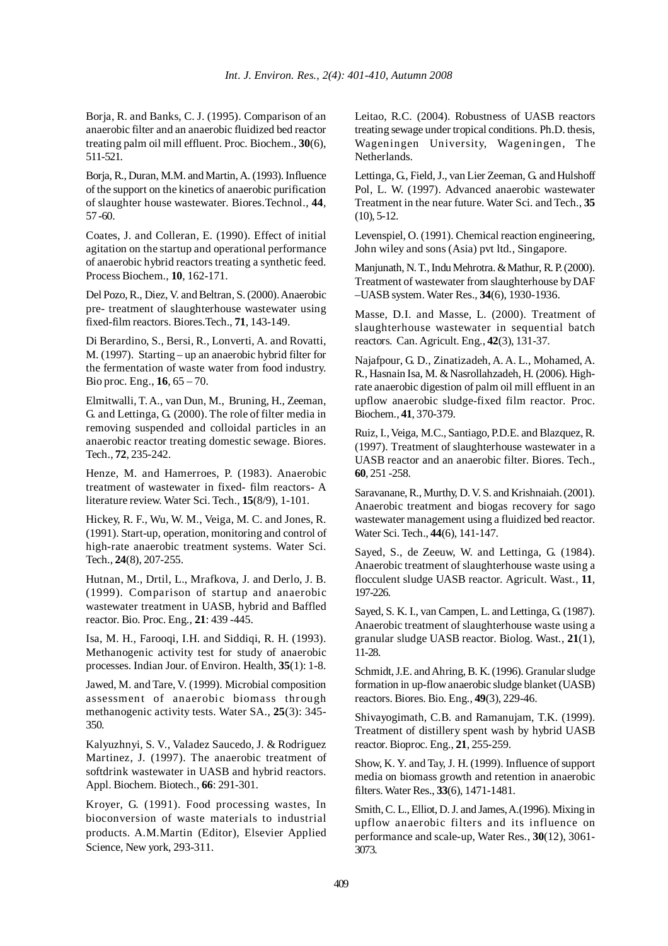Borja, R. and Banks, C. J. (1995). Comparison of an anaerobic filter and an anaerobic fluidized bed reactor treating palm oil mill effluent. Proc. Biochem., **30**(6), 511-521.

Borja, R., Duran, M.M. and Martin, A. (1993). Influence of the support on the kinetics of anaerobic purification of slaughter house wastewater. Biores.Technol., **44**, 57 -60.

Coates, J. and Colleran, E. (1990). Effect of initial agitation on the startup and operational performance of anaerobic hybrid reactors treating a synthetic feed. Process Biochem., **10**, 162-171.

Del Pozo, R., Diez, V. and Beltran, S. (2000). Anaerobic pre- treatment of slaughterhouse wastewater using fixed-film reactors. Biores.Tech., **71**, 143-149.

Di Berardino, S., Bersi, R., Lonverti, A. and Rovatti, M. (1997). Starting – up an anaerobic hybrid filter for the fermentation of waste water from food industry. Bio proc. Eng., **16**, 65 – 70.

Elmitwalli, T. A., van Dun, M., Bruning, H., Zeeman, G. and Lettinga, G. (2000). The role of filter media in removing suspended and colloidal particles in an anaerobic reactor treating domestic sewage. Biores. Tech., **72**, 235-242.

Henze, M. and Hamerroes, P. (1983). Anaerobic treatment of wastewater in fixed- film reactors- A literature review. Water Sci. Tech., **15**(8/9), 1-101.

Hickey, R. F., Wu, W. M., Veiga, M. C. and Jones, R. (1991). Start-up, operation, monitoring and control of high-rate anaerobic treatment systems. Water Sci. Tech., **24**(8), 207-255.

Hutnan, M., Drtil, L., Mrafkova, J. and Derlo, J. B. (1999). Comparison of startup and anaerobic wastewater treatment in UASB, hybrid and Baffled reactor. Bio. Proc. Eng., **21**: 439 -445.

Isa, M. H., Farooqi, I.H. and Siddiqi, R. H. (1993). Methanogenic activity test for study of anaerobic processes. Indian Jour. of Environ. Health, **35**(1): 1-8.

Jawed, M. and Tare, V. (1999). Microbial composition assessment of anaerobic biomass through methanogenic activity tests. Water SA., **25**(3): 345- 350.

Kalyuzhnyi, S. V., Valadez Saucedo, J. & Rodriguez Martinez, J. (1997). The anaerobic treatment of softdrink wastewater in UASB and hybrid reactors. Appl. Biochem. Biotech., **66**: 291-301.

Kroyer, G. (1991). Food processing wastes, In bioconversion of waste materials to industrial products. A.M.Martin (Editor), Elsevier Applied Science, New york, 293-311.

Leitao, R.C. (2004). Robustness of UASB reactors treating sewage under tropical conditions. Ph.D. thesis, Wageningen University, Wageningen, The Netherlands.

Lettinga, G., Field, J., van Lier Zeeman, G. and Hulshoff Pol, L. W. (1997). Advanced anaerobic wastewater Treatment in the near future. Water Sci. and Tech., **35** (10), 5-12.

Levenspiel, O. (1991). Chemical reaction engineering, John wiley and sons (Asia) pvt ltd., Singapore.

Manjunath, N. T., Indu Mehrotra. & Mathur, R. P. (2000). Treatment of wastewater from slaughterhouse by DAF –UASB system. Water Res., **34**(6), 1930-1936.

Masse, D.I. and Masse, L. (2000). Treatment of slaughterhouse wastewater in sequential batch reactors. Can. Agricult. Eng., **42**(3), 131-37.

Najafpour, G. D., Zinatizadeh, A. A. L., Mohamed, A. R., Hasnain Isa, M. & Nasrollahzadeh, H. (2006). Highrate anaerobic digestion of palm oil mill effluent in an upflow anaerobic sludge-fixed film reactor. Proc. Biochem., **41**, 370-379.

Ruiz, I., Veiga, M.C., Santiago, P.D.E. and Blazquez, R. (1997). Treatment of slaughterhouse wastewater in a UASB reactor and an anaerobic filter. Biores. Tech., **60**, 251 -258.

Saravanane, R., Murthy, D. V. S. and Krishnaiah. (2001). Anaerobic treatment and biogas recovery for sago wastewater management using a fluidized bed reactor. Water Sci. Tech., **44**(6), 141-147.

Sayed, S., de Zeeuw, W. and Lettinga, G. (1984). Anaerobic treatment of slaughterhouse waste using a flocculent sludge UASB reactor. Agricult. Wast., **11**, 197-226.

Sayed, S. K. I., van Campen, L. and Lettinga, G. (1987). Anaerobic treatment of slaughterhouse waste using a granular sludge UASB reactor. Biolog. Wast., **21**(1), 11-28.

Schmidt, J.E. and Ahring, B. K. (1996). Granular sludge formation in up-flow anaerobic sludge blanket (UASB) reactors. Biores. Bio. Eng., **49**(3), 229-46.

Shivayogimath, C.B. and Ramanujam, T.K. (1999). Treatment of distillery spent wash by hybrid UASB reactor. Bioproc. Eng., **21**, 255-259.

Show, K. Y. and Tay, J. H. (1999). Influence of support media on biomass growth and retention in anaerobic filters. Water Res., **33**(6), 1471-1481.

Smith, C. L., Elliot, D. J. and James, A.(1996). Mixing in upflow anaerobic filters and its influence on performance and scale-up, Water Res., **30**(12), 3061- 3073.